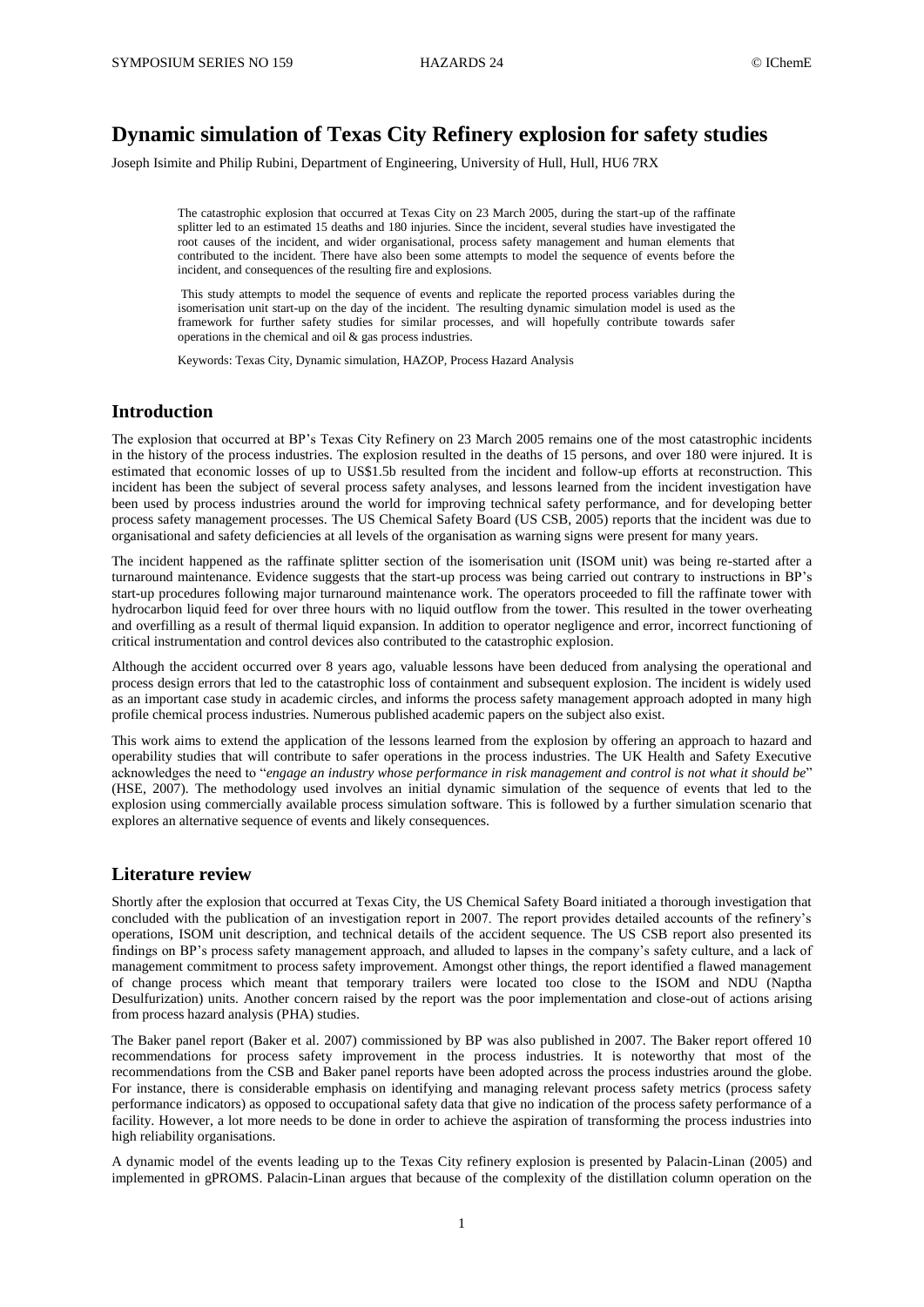# **Dynamic simulation of Texas City Refinery explosion for safety studies**

Joseph Isimite and Philip Rubini, Department of Engineering, University of Hull, Hull, HU6 7RX

The catastrophic explosion that occurred at Texas City on 23 March 2005, during the start-up of the raffinate splitter led to an estimated 15 deaths and 180 injuries. Since the incident, several studies have investigated the root causes of the incident, and wider organisational, process safety management and human elements that contributed to the incident. There have also been some attempts to model the sequence of events before the incident, and consequences of the resulting fire and explosions.

This study attempts to model the sequence of events and replicate the reported process variables during the isomerisation unit start-up on the day of the incident. The resulting dynamic simulation model is used as the framework for further safety studies for similar processes, and will hopefully contribute towards safer operations in the chemical and oil & gas process industries.

Keywords: Texas City, Dynamic simulation, HAZOP, Process Hazard Analysis

### **Introduction**

The explosion that occurred at BP's Texas City Refinery on 23 March 2005 remains one of the most catastrophic incidents in the history of the process industries. The explosion resulted in the deaths of 15 persons, and over 180 were injured. It is estimated that economic losses of up to US\$1.5b resulted from the incident and follow-up efforts at reconstruction. This incident has been the subject of several process safety analyses, and lessons learned from the incident investigation have been used by process industries around the world for improving technical safety performance, and for developing better process safety management processes. The US Chemical Safety Board (US CSB, 2005) reports that the incident was due to organisational and safety deficiencies at all levels of the organisation as warning signs were present for many years.

The incident happened as the raffinate splitter section of the isomerisation unit (ISOM unit) was being re-started after a turnaround maintenance. Evidence suggests that the start-up process was being carried out contrary to instructions in BP's start-up procedures following major turnaround maintenance work. The operators proceeded to fill the raffinate tower with hydrocarbon liquid feed for over three hours with no liquid outflow from the tower. This resulted in the tower overheating and overfilling as a result of thermal liquid expansion. In addition to operator negligence and error, incorrect functioning of critical instrumentation and control devices also contributed to the catastrophic explosion.

Although the accident occurred over 8 years ago, valuable lessons have been deduced from analysing the operational and process design errors that led to the catastrophic loss of containment and subsequent explosion. The incident is widely used as an important case study in academic circles, and informs the process safety management approach adopted in many high profile chemical process industries. Numerous published academic papers on the subject also exist.

This work aims to extend the application of the lessons learned from the explosion by offering an approach to hazard and operability studies that will contribute to safer operations in the process industries. The UK Health and Safety Executive acknowledges the need to "*engage an industry whose performance in risk management and control is not what it should be*" (HSE, 2007). The methodology used involves an initial dynamic simulation of the sequence of events that led to the explosion using commercially available process simulation software. This is followed by a further simulation scenario that explores an alternative sequence of events and likely consequences.

#### **Literature review**

Shortly after the explosion that occurred at Texas City, the US Chemical Safety Board initiated a thorough investigation that concluded with the publication of an investigation report in 2007. The report provides detailed accounts of the refinery's operations, ISOM unit description, and technical details of the accident sequence. The US CSB report also presented its findings on BP's process safety management approach, and alluded to lapses in the company's safety culture, and a lack of management commitment to process safety improvement. Amongst other things, the report identified a flawed management of change process which meant that temporary trailers were located too close to the ISOM and NDU (Naptha Desulfurization) units. Another concern raised by the report was the poor implementation and close-out of actions arising from process hazard analysis (PHA) studies.

The Baker panel report (Baker et al. 2007) commissioned by BP was also published in 2007. The Baker report offered 10 recommendations for process safety improvement in the process industries. It is noteworthy that most of the recommendations from the CSB and Baker panel reports have been adopted across the process industries around the globe. For instance, there is considerable emphasis on identifying and managing relevant process safety metrics (process safety performance indicators) as opposed to occupational safety data that give no indication of the process safety performance of a facility. However, a lot more needs to be done in order to achieve the aspiration of transforming the process industries into high reliability organisations.

A dynamic model of the events leading up to the Texas City refinery explosion is presented by Palacin-Linan (2005) and implemented in gPROMS. Palacin-Linan argues that because of the complexity of the distillation column operation on the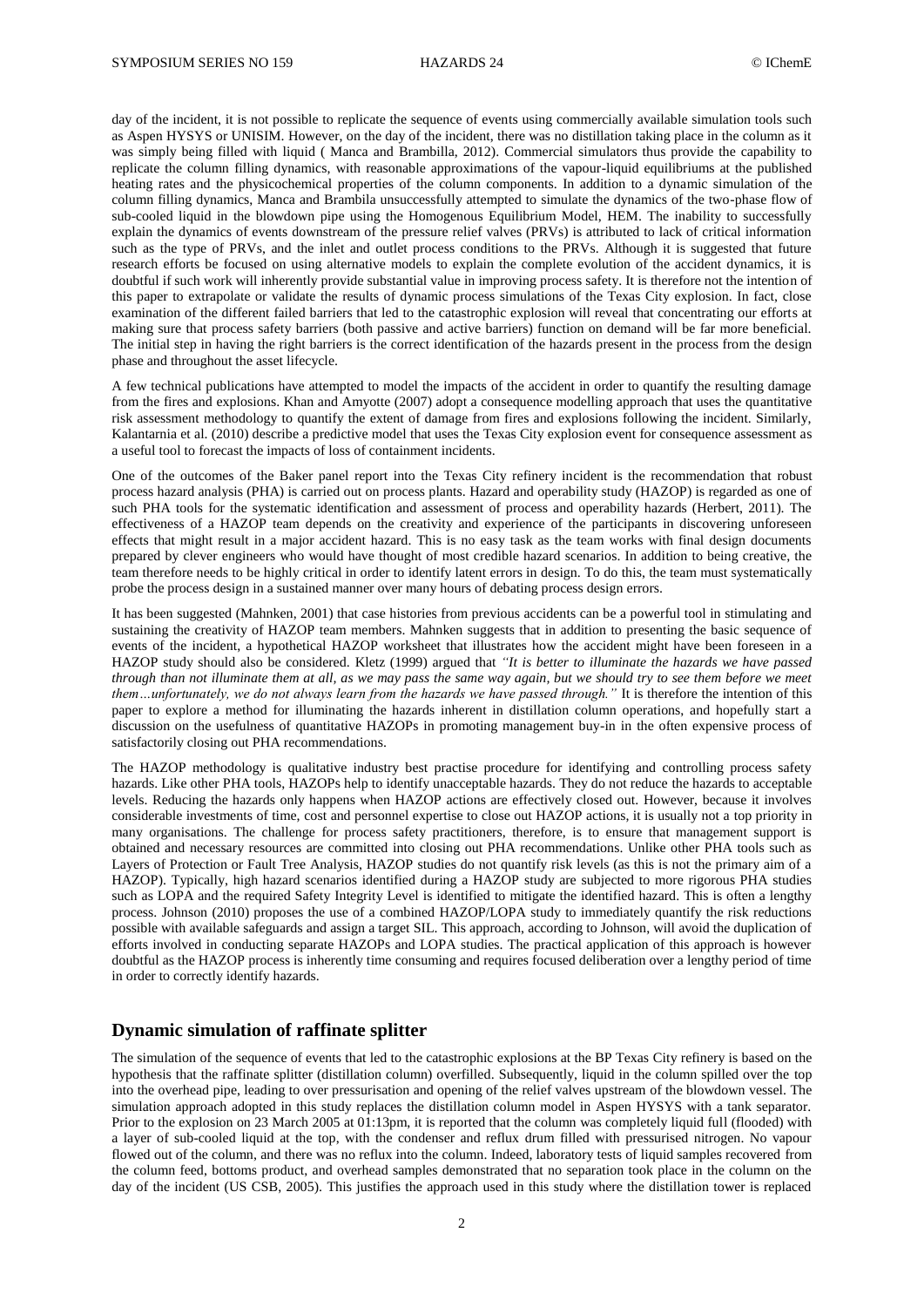day of the incident, it is not possible to replicate the sequence of events using commercially available simulation tools such as Aspen HYSYS or UNISIM. However, on the day of the incident, there was no distillation taking place in the column as it was simply being filled with liquid ( Manca and Brambilla, 2012). Commercial simulators thus provide the capability to replicate the column filling dynamics, with reasonable approximations of the vapour-liquid equilibriums at the published heating rates and the physicochemical properties of the column components. In addition to a dynamic simulation of the column filling dynamics, Manca and Brambila unsuccessfully attempted to simulate the dynamics of the two-phase flow of sub-cooled liquid in the blowdown pipe using the Homogenous Equilibrium Model, HEM. The inability to successfully explain the dynamics of events downstream of the pressure relief valves (PRVs) is attributed to lack of critical information such as the type of PRVs, and the inlet and outlet process conditions to the PRVs. Although it is suggested that future research efforts be focused on using alternative models to explain the complete evolution of the accident dynamics, it is doubtful if such work will inherently provide substantial value in improving process safety. It is therefore not the intention of this paper to extrapolate or validate the results of dynamic process simulations of the Texas City explosion. In fact, close examination of the different failed barriers that led to the catastrophic explosion will reveal that concentrating our efforts at making sure that process safety barriers (both passive and active barriers) function on demand will be far more beneficial. The initial step in having the right barriers is the correct identification of the hazards present in the process from the design phase and throughout the asset lifecycle.

A few technical publications have attempted to model the impacts of the accident in order to quantify the resulting damage from the fires and explosions. Khan and Amyotte (2007) adopt a consequence modelling approach that uses the quantitative risk assessment methodology to quantify the extent of damage from fires and explosions following the incident. Similarly, Kalantarnia et al. (2010) describe a predictive model that uses the Texas City explosion event for consequence assessment as a useful tool to forecast the impacts of loss of containment incidents.

One of the outcomes of the Baker panel report into the Texas City refinery incident is the recommendation that robust process hazard analysis (PHA) is carried out on process plants. Hazard and operability study (HAZOP) is regarded as one of such PHA tools for the systematic identification and assessment of process and operability hazards (Herbert, 2011). The effectiveness of a HAZOP team depends on the creativity and experience of the participants in discovering unforeseen effects that might result in a major accident hazard. This is no easy task as the team works with final design documents prepared by clever engineers who would have thought of most credible hazard scenarios. In addition to being creative, the team therefore needs to be highly critical in order to identify latent errors in design. To do this, the team must systematically probe the process design in a sustained manner over many hours of debating process design errors.

It has been suggested (Mahnken, 2001) that case histories from previous accidents can be a powerful tool in stimulating and sustaining the creativity of HAZOP team members. Mahnken suggests that in addition to presenting the basic sequence of events of the incident, a hypothetical HAZOP worksheet that illustrates how the accident might have been foreseen in a HAZOP study should also be considered. Kletz (1999) argued that *"It is better to illuminate the hazards we have passed through than not illuminate them at all, as we may pass the same way again, but we should try to see them before we meet them…unfortunately, we do not always learn from the hazards we have passed through."* It is therefore the intention of this paper to explore a method for illuminating the hazards inherent in distillation column operations, and hopefully start a discussion on the usefulness of quantitative HAZOPs in promoting management buy-in in the often expensive process of satisfactorily closing out PHA recommendations.

The HAZOP methodology is qualitative industry best practise procedure for identifying and controlling process safety hazards. Like other PHA tools, HAZOPs help to identify unacceptable hazards. They do not reduce the hazards to acceptable levels. Reducing the hazards only happens when HAZOP actions are effectively closed out. However, because it involves considerable investments of time, cost and personnel expertise to close out HAZOP actions, it is usually not a top priority in many organisations. The challenge for process safety practitioners, therefore, is to ensure that management support is obtained and necessary resources are committed into closing out PHA recommendations. Unlike other PHA tools such as Layers of Protection or Fault Tree Analysis, HAZOP studies do not quantify risk levels (as this is not the primary aim of a HAZOP). Typically, high hazard scenarios identified during a HAZOP study are subjected to more rigorous PHA studies such as LOPA and the required Safety Integrity Level is identified to mitigate the identified hazard. This is often a lengthy process. Johnson (2010) proposes the use of a combined HAZOP/LOPA study to immediately quantify the risk reductions possible with available safeguards and assign a target SIL. This approach, according to Johnson, will avoid the duplication of efforts involved in conducting separate HAZOPs and LOPA studies. The practical application of this approach is however doubtful as the HAZOP process is inherently time consuming and requires focused deliberation over a lengthy period of time in order to correctly identify hazards.

#### **Dynamic simulation of raffinate splitter**

The simulation of the sequence of events that led to the catastrophic explosions at the BP Texas City refinery is based on the hypothesis that the raffinate splitter (distillation column) overfilled. Subsequently, liquid in the column spilled over the top into the overhead pipe, leading to over pressurisation and opening of the relief valves upstream of the blowdown vessel. The simulation approach adopted in this study replaces the distillation column model in Aspen HYSYS with a tank separator. Prior to the explosion on 23 March 2005 at 01:13pm, it is reported that the column was completely liquid full (flooded) with a layer of sub-cooled liquid at the top, with the condenser and reflux drum filled with pressurised nitrogen. No vapour flowed out of the column, and there was no reflux into the column. Indeed, laboratory tests of liquid samples recovered from the column feed, bottoms product, and overhead samples demonstrated that no separation took place in the column on the day of the incident (US CSB, 2005). This justifies the approach used in this study where the distillation tower is replaced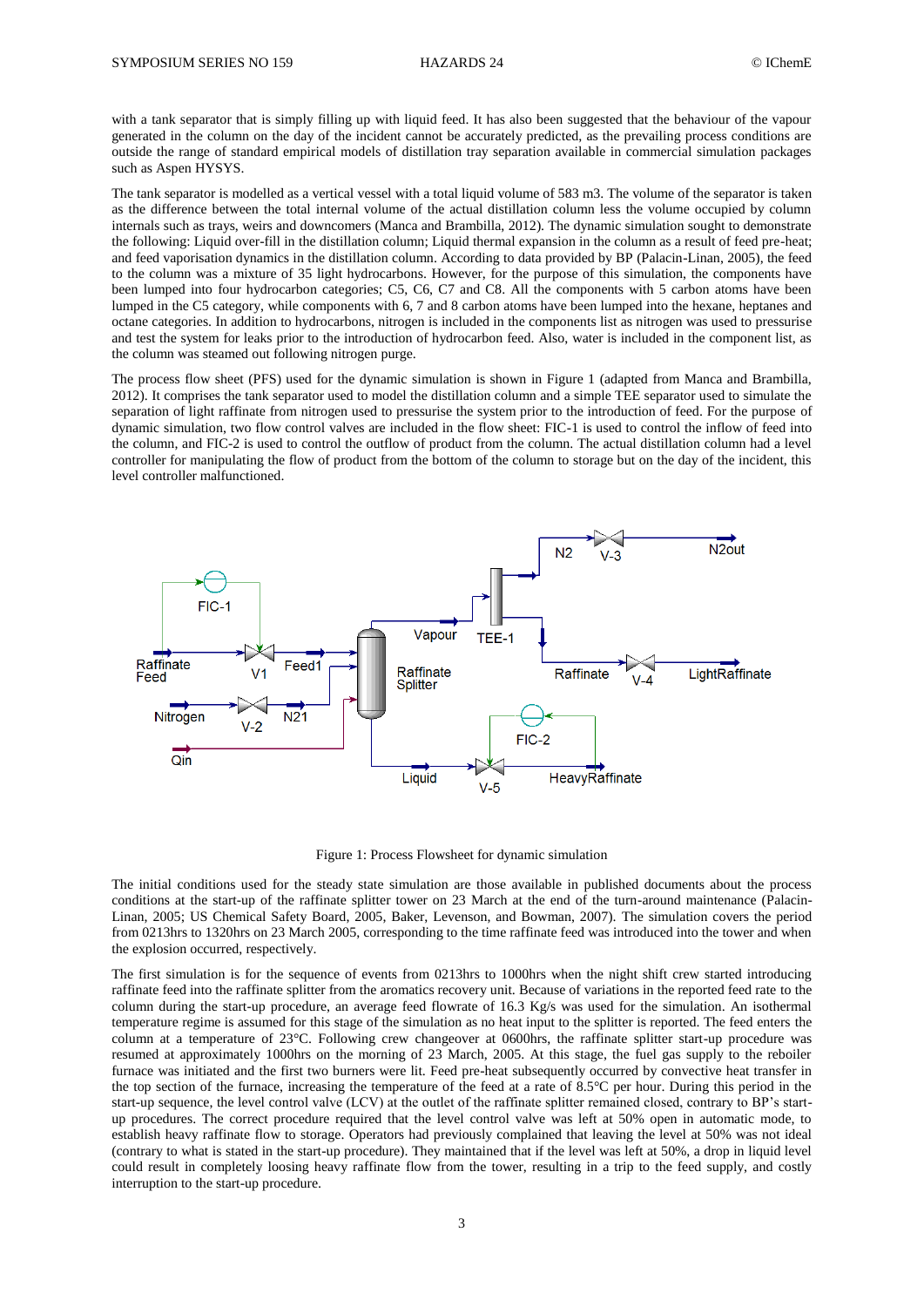with a tank separator that is simply filling up with liquid feed. It has also been suggested that the behaviour of the vapour generated in the column on the day of the incident cannot be accurately predicted, as the prevailing process conditions are outside the range of standard empirical models of distillation tray separation available in commercial simulation packages such as Aspen HYSYS.

The tank separator is modelled as a vertical vessel with a total liquid volume of 583 m3. The volume of the separator is taken as the difference between the total internal volume of the actual distillation column less the volume occupied by column internals such as trays, weirs and downcomers (Manca and Brambilla, 2012). The dynamic simulation sought to demonstrate the following: Liquid over-fill in the distillation column; Liquid thermal expansion in the column as a result of feed pre-heat; and feed vaporisation dynamics in the distillation column. According to data provided by BP (Palacin-Linan, 2005), the feed to the column was a mixture of 35 light hydrocarbons. However, for the purpose of this simulation, the components have been lumped into four hydrocarbon categories; C5, C6, C7 and C8. All the components with 5 carbon atoms have been lumped in the C5 category, while components with 6, 7 and 8 carbon atoms have been lumped into the hexane, heptanes and octane categories. In addition to hydrocarbons, nitrogen is included in the components list as nitrogen was used to pressurise and test the system for leaks prior to the introduction of hydrocarbon feed. Also, water is included in the component list, as the column was steamed out following nitrogen purge.

The process flow sheet (PFS) used for the dynamic simulation is shown in Figure 1 (adapted from Manca and Brambilla, 2012). It comprises the tank separator used to model the distillation column and a simple TEE separator used to simulate the separation of light raffinate from nitrogen used to pressurise the system prior to the introduction of feed. For the purpose of dynamic simulation, two flow control valves are included in the flow sheet: FIC-1 is used to control the inflow of feed into the column, and FIC-2 is used to control the outflow of product from the column. The actual distillation column had a level controller for manipulating the flow of product from the bottom of the column to storage but on the day of the incident, this level controller malfunctioned.



Figure 1: Process Flowsheet for dynamic simulation

The initial conditions used for the steady state simulation are those available in published documents about the process conditions at the start-up of the raffinate splitter tower on 23 March at the end of the turn-around maintenance (Palacin-Linan, 2005; US Chemical Safety Board, 2005, Baker, Levenson, and Bowman, 2007). The simulation covers the period from 0213hrs to 1320hrs on 23 March 2005, corresponding to the time raffinate feed was introduced into the tower and when the explosion occurred, respectively.

The first simulation is for the sequence of events from 0213hrs to 1000hrs when the night shift crew started introducing raffinate feed into the raffinate splitter from the aromatics recovery unit. Because of variations in the reported feed rate to the column during the start-up procedure, an average feed flowrate of 16.3 Kg/s was used for the simulation. An isothermal temperature regime is assumed for this stage of the simulation as no heat input to the splitter is reported. The feed enters the column at a temperature of 23°C. Following crew changeover at 0600hrs, the raffinate splitter start-up procedure was resumed at approximately 1000hrs on the morning of 23 March, 2005. At this stage, the fuel gas supply to the reboiler furnace was initiated and the first two burners were lit. Feed pre-heat subsequently occurred by convective heat transfer in the top section of the furnace, increasing the temperature of the feed at a rate of 8.5°C per hour. During this period in the start-up sequence, the level control valve (LCV) at the outlet of the raffinate splitter remained closed, contrary to BP's startup procedures. The correct procedure required that the level control valve was left at 50% open in automatic mode, to establish heavy raffinate flow to storage. Operators had previously complained that leaving the level at 50% was not ideal (contrary to what is stated in the start-up procedure). They maintained that if the level was left at 50%, a drop in liquid level could result in completely loosing heavy raffinate flow from the tower, resulting in a trip to the feed supply, and costly interruption to the start-up procedure.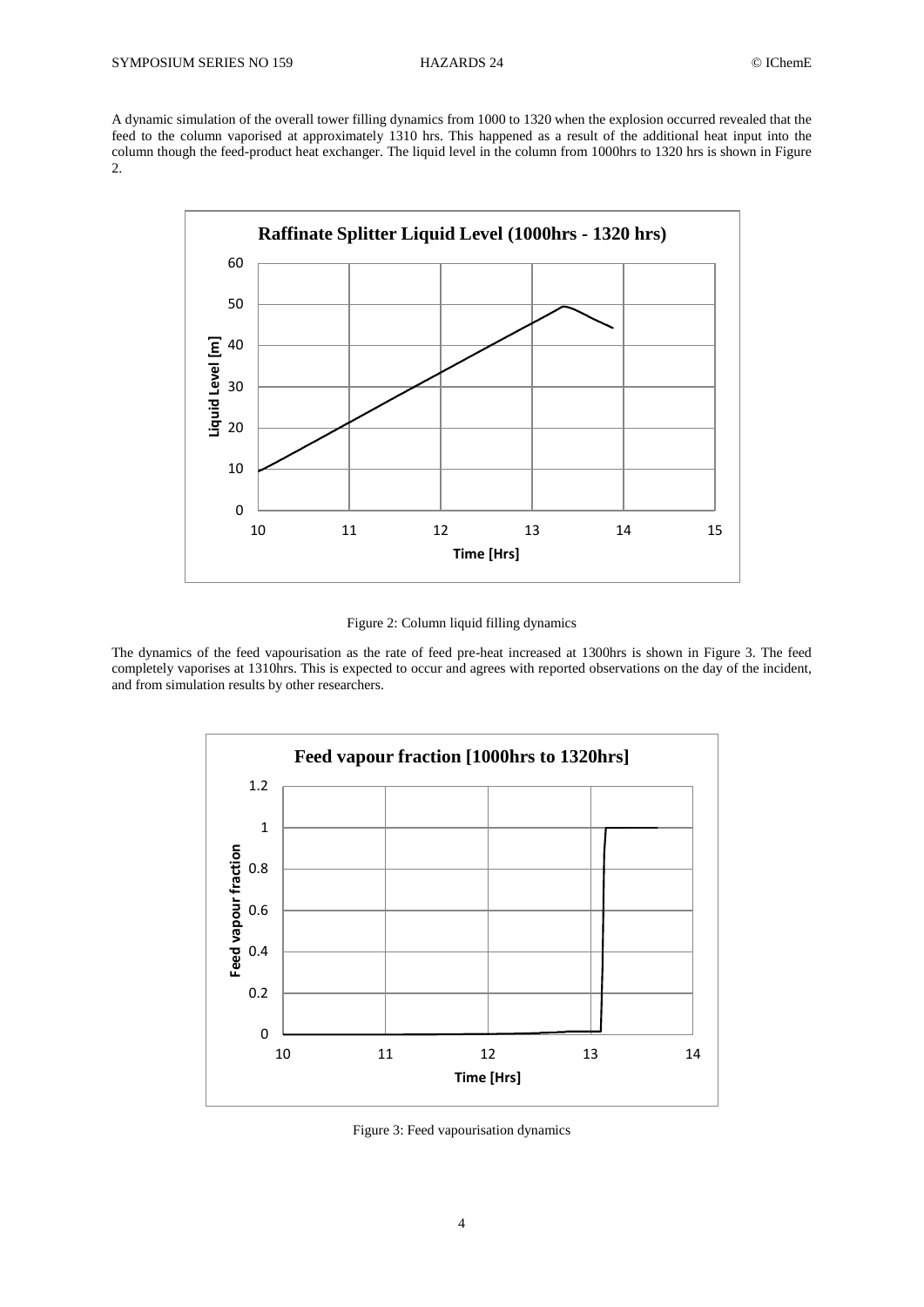A dynamic simulation of the overall tower filling dynamics from 1000 to 1320 when the explosion occurred revealed that the feed to the column vaporised at approximately 1310 hrs. This happened as a result of the additional heat input into the column though the feed-product heat exchanger. The liquid level in the column from 1000hrs to 1320 hrs is shown in Figure 2.



Figure 2: Column liquid filling dynamics

The dynamics of the feed vapourisation as the rate of feed pre-heat increased at 1300hrs is shown in Figure 3. The feed completely vaporises at 1310hrs. This is expected to occur and agrees with reported observations on the day of the incident, and from simulation results by other researchers.



Figure 3: Feed vapourisation dynamics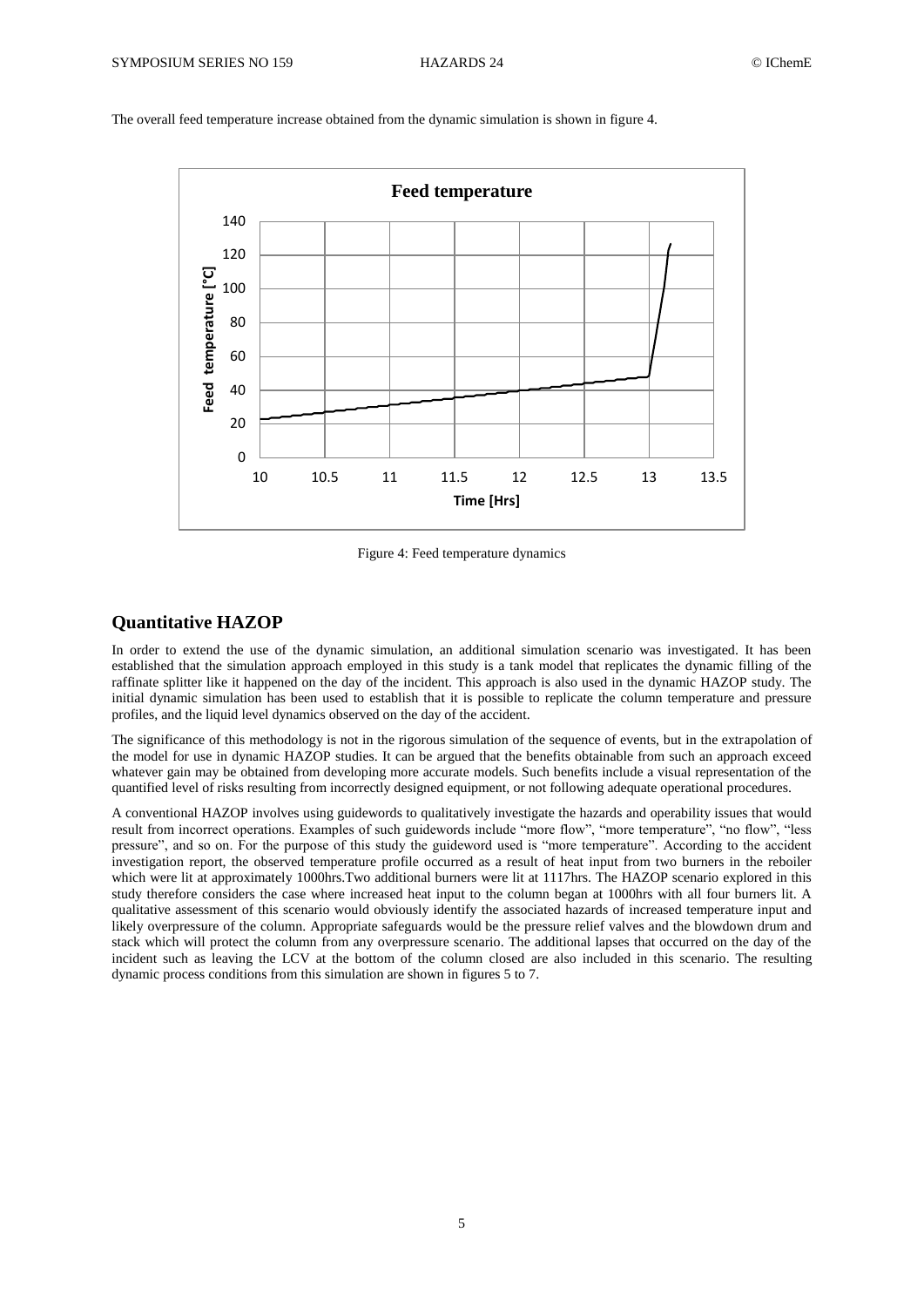

The overall feed temperature increase obtained from the dynamic simulation is shown in figure 4.

Figure 4: Feed temperature dynamics

## **Quantitative HAZOP**

In order to extend the use of the dynamic simulation, an additional simulation scenario was investigated. It has been established that the simulation approach employed in this study is a tank model that replicates the dynamic filling of the raffinate splitter like it happened on the day of the incident. This approach is also used in the dynamic HAZOP study. The initial dynamic simulation has been used to establish that it is possible to replicate the column temperature and pressure profiles, and the liquid level dynamics observed on the day of the accident.

The significance of this methodology is not in the rigorous simulation of the sequence of events, but in the extrapolation of the model for use in dynamic HAZOP studies. It can be argued that the benefits obtainable from such an approach exceed whatever gain may be obtained from developing more accurate models. Such benefits include a visual representation of the quantified level of risks resulting from incorrectly designed equipment, or not following adequate operational procedures.

A conventional HAZOP involves using guidewords to qualitatively investigate the hazards and operability issues that would result from incorrect operations. Examples of such guidewords include "more flow", "more temperature", "no flow", "less pressure", and so on. For the purpose of this study the guideword used is "more temperature". According to the accident investigation report, the observed temperature profile occurred as a result of heat input from two burners in the reboiler which were lit at approximately 1000hrs.Two additional burners were lit at 1117hrs. The HAZOP scenario explored in this study therefore considers the case where increased heat input to the column began at 1000hrs with all four burners lit. A qualitative assessment of this scenario would obviously identify the associated hazards of increased temperature input and likely overpressure of the column. Appropriate safeguards would be the pressure relief valves and the blowdown drum and stack which will protect the column from any overpressure scenario. The additional lapses that occurred on the day of the incident such as leaving the LCV at the bottom of the column closed are also included in this scenario. The resulting dynamic process conditions from this simulation are shown in figures 5 to 7.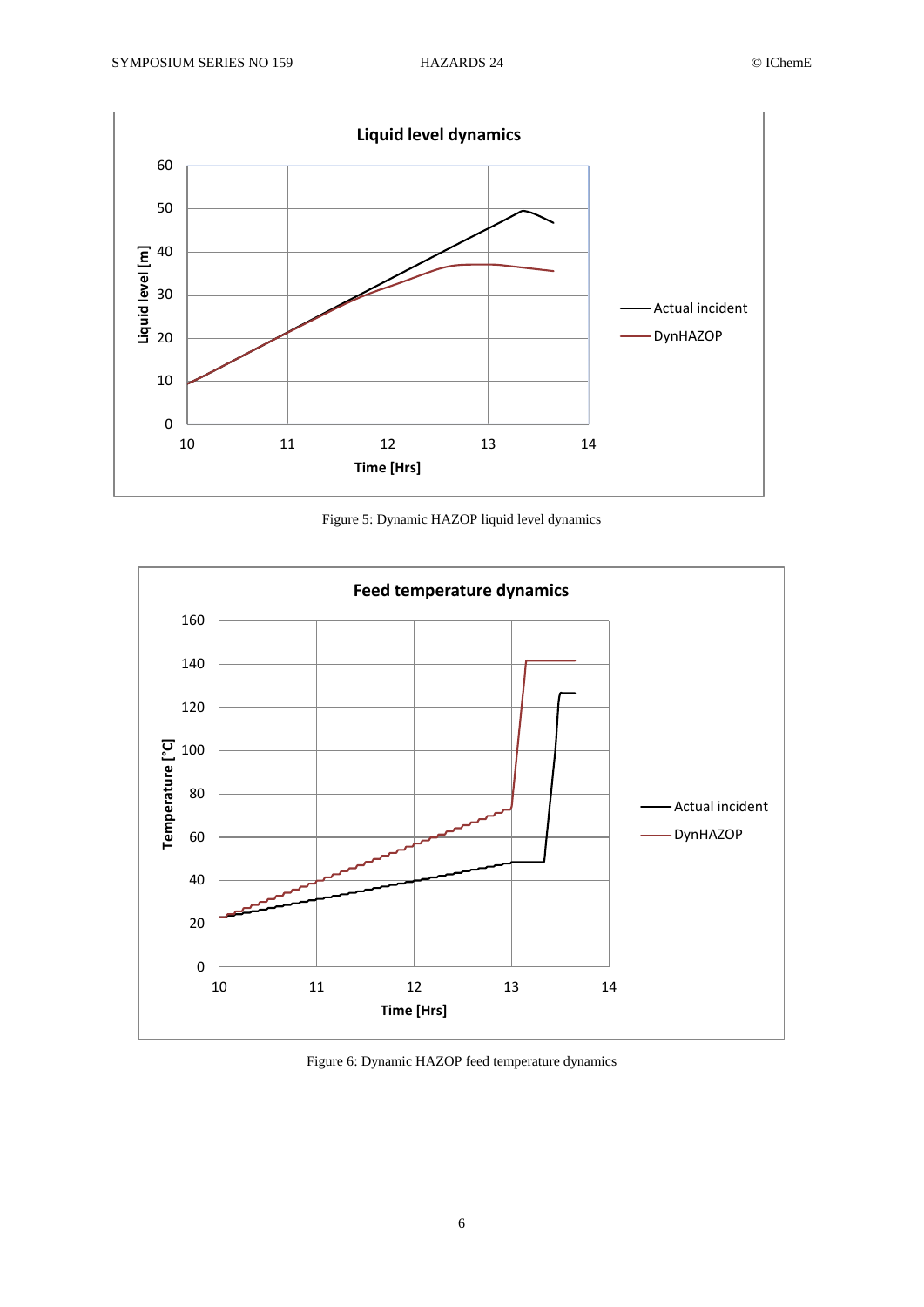

Figure 5: Dynamic HAZOP liquid level dynamics



Figure 6: Dynamic HAZOP feed temperature dynamics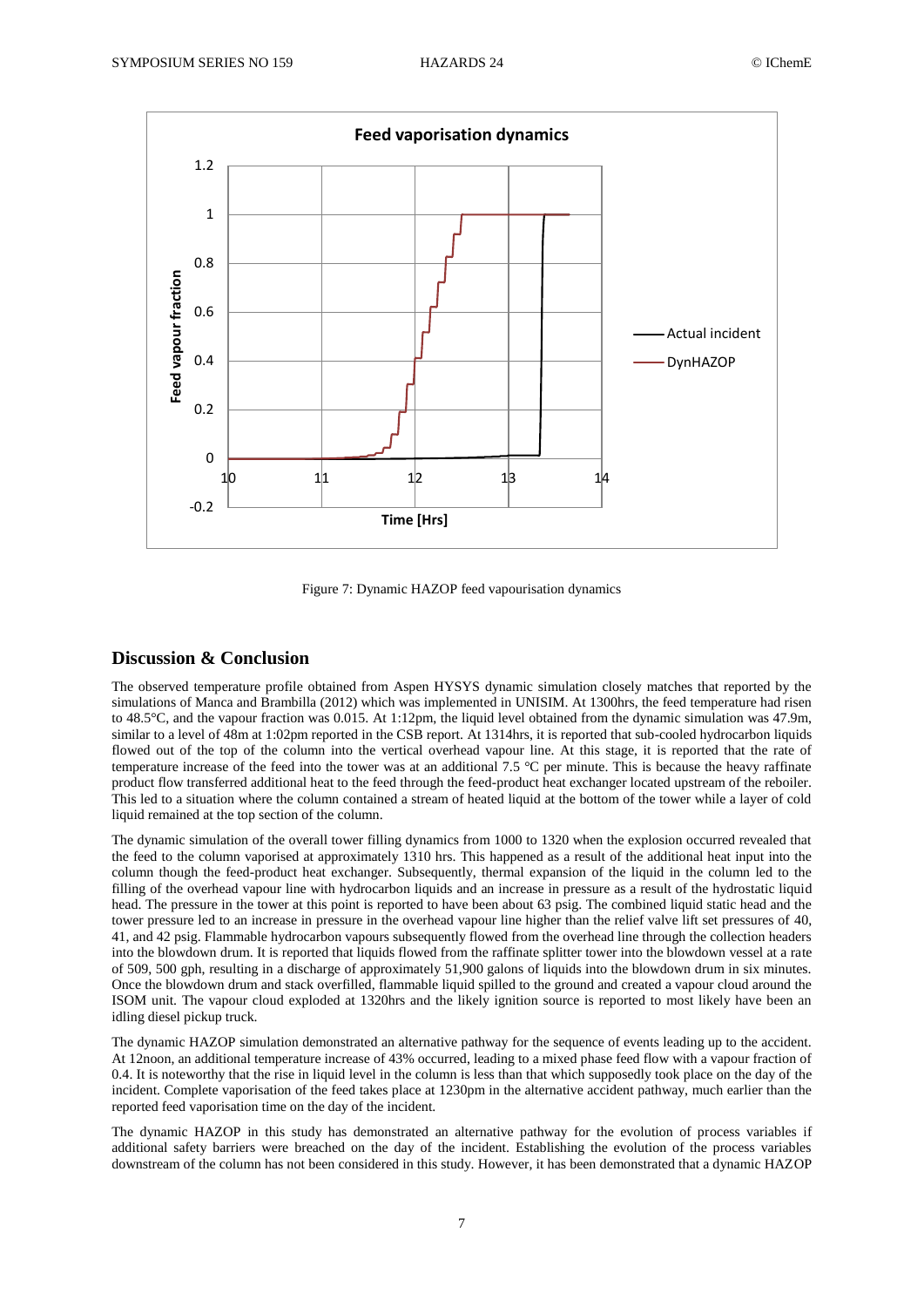

Figure 7: Dynamic HAZOP feed vapourisation dynamics

## **Discussion & Conclusion**

The observed temperature profile obtained from Aspen HYSYS dynamic simulation closely matches that reported by the simulations of Manca and Brambilla (2012) which was implemented in UNISIM. At 1300hrs, the feed temperature had risen to 48.5°C, and the vapour fraction was 0.015. At 1:12pm, the liquid level obtained from the dynamic simulation was 47.9m, similar to a level of 48m at 1:02pm reported in the CSB report. At 1314hrs, it is reported that sub-cooled hydrocarbon liquids flowed out of the top of the column into the vertical overhead vapour line. At this stage, it is reported that the rate of temperature increase of the feed into the tower was at an additional 7.5 °C per minute. This is because the heavy raffinate product flow transferred additional heat to the feed through the feed-product heat exchanger located upstream of the reboiler. This led to a situation where the column contained a stream of heated liquid at the bottom of the tower while a layer of cold liquid remained at the top section of the column.

The dynamic simulation of the overall tower filling dynamics from 1000 to 1320 when the explosion occurred revealed that the feed to the column vaporised at approximately 1310 hrs. This happened as a result of the additional heat input into the column though the feed-product heat exchanger. Subsequently, thermal expansion of the liquid in the column led to the filling of the overhead vapour line with hydrocarbon liquids and an increase in pressure as a result of the hydrostatic liquid head. The pressure in the tower at this point is reported to have been about 63 psig. The combined liquid static head and the tower pressure led to an increase in pressure in the overhead vapour line higher than the relief valve lift set pressures of 40, 41, and 42 psig. Flammable hydrocarbon vapours subsequently flowed from the overhead line through the collection headers into the blowdown drum. It is reported that liquids flowed from the raffinate splitter tower into the blowdown vessel at a rate of 509, 500 gph, resulting in a discharge of approximately 51,900 galons of liquids into the blowdown drum in six minutes. Once the blowdown drum and stack overfilled, flammable liquid spilled to the ground and created a vapour cloud around the ISOM unit. The vapour cloud exploded at 1320hrs and the likely ignition source is reported to most likely have been an idling diesel pickup truck.

The dynamic HAZOP simulation demonstrated an alternative pathway for the sequence of events leading up to the accident. At 12noon, an additional temperature increase of 43% occurred, leading to a mixed phase feed flow with a vapour fraction of 0.4. It is noteworthy that the rise in liquid level in the column is less than that which supposedly took place on the day of the incident. Complete vaporisation of the feed takes place at 1230pm in the alternative accident pathway, much earlier than the reported feed vaporisation time on the day of the incident.

The dynamic HAZOP in this study has demonstrated an alternative pathway for the evolution of process variables if additional safety barriers were breached on the day of the incident. Establishing the evolution of the process variables downstream of the column has not been considered in this study. However, it has been demonstrated that a dynamic HAZOP